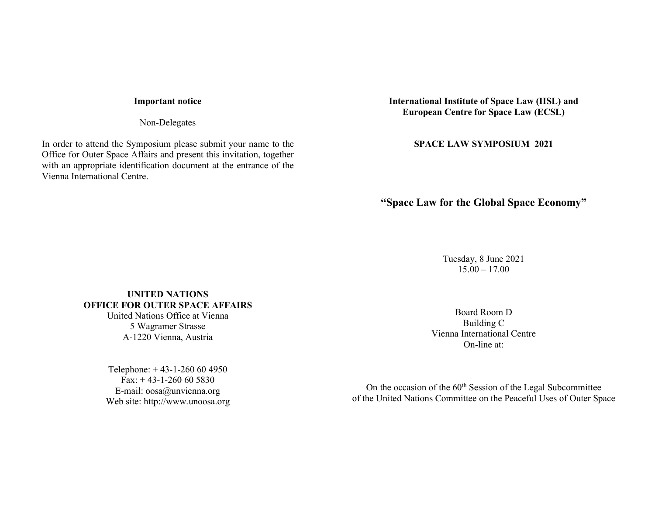### Important notice

Non-Delegates

In order to attend the Symposium please submit your name to the Office for Outer Space Affairs and present this invitation, together with an appropriate identification document at the entrance of the Vienna International Centre.

International Institute of Space Law (IISL) and European Centre for Space Law (ECSL)

SPACE LAW SYMPOSIUM 2021

# "Space Law for the Global Space Economy"

Tuesday, 8 June 2021  $15.00 - 17.00$ 

UNITED NATIONS OFFICE FOR OUTER SPACE AFFAIRS United Nations Office at Vienna

5 Wagramer Strasse A-1220 Vienna, Austria

Telephone: + 43-1-260 60 4950 Fax:  $+ 43 - 1 - 260 60 5830$ E-mail: oosa@unvienna.org Web site: http://www.unoosa.org

Board Room D Building C Vienna International Centre On-line at:

On the occasion of the 60<sup>th</sup> Session of the Legal Subcommittee of the United Nations Committee on the Peaceful Uses of Outer Space